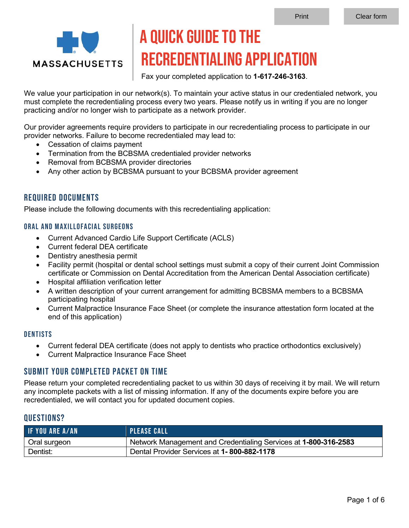

# A Quick Guide to the Recredentialing Application

Fax your completed application to **1-617-246-3163**.

We value your participation in our network(s). To maintain your active status in our credentialed network, you must complete the recredentialing process every two years. Please notify us in writing if you are no longer practicing and/or no longer wish to participate as a network provider.

Our provider agreements require providers to participate in our recredentialing process to participate in our provider networks. Failure to become recredentialed may lead to:

- Cessation of claims payment
- Termination from the BCBSMA credentialed provider networks
- Removal from BCBSMA provider directories
- Any other action by BCBSMA pursuant to your BCBSMA provider agreement

## Required Documents

Please include the following documents with this recredentialing application:

#### Oral and Maxillofacial Surgeons

- Current Advanced Cardio Life Support Certificate (ACLS)
- Current federal DEA certificate
- Dentistry anesthesia permit
- Facility permit (hospital or dental school settings must submit a copy of their current Joint Commission certificate or Commission on Dental Accreditation from the American Dental Association certificate)
- Hospital affiliation verification letter
- A written description of your current arrangement for admitting BCBSMA members to a BCBSMA participating hospital
- Current Malpractice Insurance Face Sheet (or complete the insurance attestation form located at the end of this application)

#### **DENTISTS**

- Current federal DEA certificate (does not apply to dentists who practice orthodontics exclusively)
- Current Malpractice Insurance Face Sheet

## Submit your completed packet on time

Please return your completed recredentialing packet to us within 30 days of receiving it by mail. We will return any incomplete packets with a list of missing information. If any of the documents expire before you are recredentialed, we will contact you for updated document copies.

### Questions?

| <b>IF YOU ARE A/AN</b> | <b>PLEASE CALL</b>                                              |
|------------------------|-----------------------------------------------------------------|
| Oral surgeon           | Network Management and Credentialing Services at 1-800-316-2583 |
| Dentist:               | Dental Provider Services at 1-800-882-1178                      |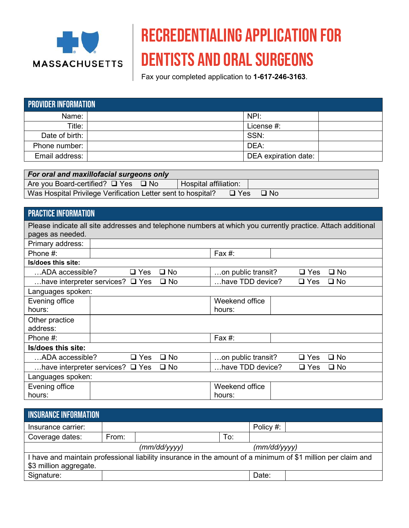

# Recredentialing Application for dentists and oral surgeons

Fax your completed application to **1-617-246-3163**.

| <b>PROVIDER INFORMATION</b> |  |                      |  |  |  |  |
|-----------------------------|--|----------------------|--|--|--|--|
| Name:                       |  | NPI:                 |  |  |  |  |
| Title:                      |  | License #:           |  |  |  |  |
| Date of birth: I            |  | SSN:                 |  |  |  |  |
| Phone number:               |  | DEA:                 |  |  |  |  |
| Email address:              |  | DEA expiration date: |  |  |  |  |

| For oral and maxillofacial surgeons only                     |                       |           |  |  |  |
|--------------------------------------------------------------|-----------------------|-----------|--|--|--|
| Are you Board-certified? $\Box$ Yes $\Box$ No                | Hospital affiliation: |           |  |  |  |
| Was Hospital Privilege Verification Letter sent to hospital? | $\Box$ Yes            | $\Box$ No |  |  |  |

## PRACTICE INFORMATION

| Please indicate all site addresses and telephone numbers at which you currently practice. Attach additional<br>pages as needed. |                                       |              |                    |  |               |              |
|---------------------------------------------------------------------------------------------------------------------------------|---------------------------------------|--------------|--------------------|--|---------------|--------------|
| Primary address:                                                                                                                |                                       |              |                    |  |               |              |
| Phone $#$ :                                                                                                                     |                                       |              | Fax $#$ :          |  |               |              |
| Is/does this site:                                                                                                              |                                       |              |                    |  |               |              |
| ADA accessible?                                                                                                                 | $\Box$ Yes                            | $\square$ No | on public transit? |  | $\square$ Yes | □ No         |
|                                                                                                                                 | have interpreter services? $\Box$ Yes | $\square$ No | have TDD device?   |  | $\Box$ Yes    | $\square$ No |
| Languages spoken:                                                                                                               |                                       |              |                    |  |               |              |
| Evening office                                                                                                                  |                                       |              | Weekend office     |  |               |              |
| hours:                                                                                                                          |                                       |              | hours:             |  |               |              |
| Other practice                                                                                                                  |                                       |              |                    |  |               |              |
| address:                                                                                                                        |                                       |              |                    |  |               |              |
| Phone #:                                                                                                                        |                                       |              | Fax #:             |  |               |              |
| Is/does this site:                                                                                                              |                                       |              |                    |  |               |              |
| ADA accessible?                                                                                                                 | $\square$ Yes                         | $\square$ No | on public transit? |  | $\Box$ Yes    | $\square$ No |
|                                                                                                                                 | have interpreter services? $\Box$ Yes | $\square$ No | have TDD device?   |  | $\square$ Yes | $\square$ No |
| Languages spoken:                                                                                                               |                                       |              |                    |  |               |              |
| Evening office                                                                                                                  |                                       |              | Weekend office     |  |               |              |
| hours:                                                                                                                          |                                       |              | hours:             |  |               |              |

| <b>INSURANCE INFORMATION</b>                                                                                 |       |              |     |              |  |  |
|--------------------------------------------------------------------------------------------------------------|-------|--------------|-----|--------------|--|--|
| Insurance carrier:                                                                                           |       |              |     | Policy #:    |  |  |
| Coverage dates:                                                                                              | From: |              | To: |              |  |  |
|                                                                                                              |       | (mm/dd/yyyy) |     | (mm/dd/yyyy) |  |  |
| I have and maintain professional liability insurance in the amount of a minimum of \$1 million per claim and |       |              |     |              |  |  |
| \$3 million aggregate.                                                                                       |       |              |     |              |  |  |
| Signature:                                                                                                   |       |              |     | Date:        |  |  |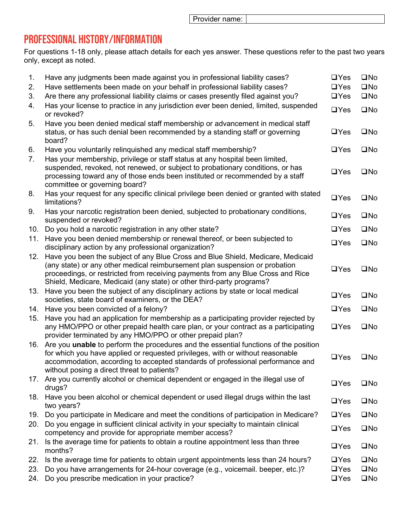Provider name:

## Professional History/Information

For questions 1-18 only, please attach details for each yes answer. These questions refer to the past two years only, except as noted.

| 1.<br>2.<br>3. | Have any judgments been made against you in professional liability cases?<br>Have settlements been made on your behalf in professional liability cases?<br>Are there any professional liability claims or cases presently filed against you?                                                                               | $\Box$ Yes<br>$\Box$ Yes<br>$\Box$ Yes | $\square$ No<br>$\square$ No<br>$\square$ No |
|----------------|----------------------------------------------------------------------------------------------------------------------------------------------------------------------------------------------------------------------------------------------------------------------------------------------------------------------------|----------------------------------------|----------------------------------------------|
| 4.             | Has your license to practice in any jurisdiction ever been denied, limited, suspended<br>or revoked?                                                                                                                                                                                                                       | $\Box$ Yes                             | $\square$ No                                 |
| 5.             | Have you been denied medical staff membership or advancement in medical staff<br>status, or has such denial been recommended by a standing staff or governing<br>board?                                                                                                                                                    | $\Box$ Yes                             | $\square$ No                                 |
| 6.             | Have you voluntarily relinquished any medical staff membership?                                                                                                                                                                                                                                                            | $\Box$ Yes                             | $\square$ No                                 |
| 7.             | Has your membership, privilege or staff status at any hospital been limited,<br>suspended, revoked, not renewed, or subject to probationary conditions, or has<br>processing toward any of those ends been instituted or recommended by a staff<br>committee or governing board?                                           | $\Box$ Yes                             | $\square$ No                                 |
| 8.             | Has your request for any specific clinical privilege been denied or granted with stated<br>limitations?                                                                                                                                                                                                                    | $\Box$ Yes                             | $\square$ No                                 |
| 9.             | Has your narcotic registration been denied, subjected to probationary conditions,<br>suspended or revoked?                                                                                                                                                                                                                 | $\Box$ Yes                             | $\square$ No                                 |
| 10.            | Do you hold a narcotic registration in any other state?                                                                                                                                                                                                                                                                    | $\Box$ Yes                             | $\square$ No                                 |
| 11.            | Have you been denied membership or renewal thereof, or been subjected to<br>disciplinary action by any professional organization?                                                                                                                                                                                          | $\Box$ Yes                             | $\square$ No                                 |
| 12.            | Have you been the subject of any Blue Cross and Blue Shield, Medicare, Medicaid<br>(any state) or any other medical reimbursement plan suspension or probation<br>proceedings, or restricted from receiving payments from any Blue Cross and Rice<br>Shield, Medicare, Medicaid (any state) or other third-party programs? | $\Box$ Yes                             | $\square$ No                                 |
| 13.            | Have you been the subject of any disciplinary actions by state or local medical<br>societies, state board of examiners, or the DEA?                                                                                                                                                                                        | $\Box$ Yes                             | $\square$ No                                 |
| 14.            | Have you been convicted of a felony?                                                                                                                                                                                                                                                                                       | $\Box$ Yes                             | $\square$ No                                 |
| 15.            | Have you had an application for membership as a participating provider rejected by<br>any HMO/PPO or other prepaid health care plan, or your contract as a participating<br>provider terminated by any HMO/PPO or other prepaid plan?                                                                                      | $\Box$ Yes                             | $\square$ No                                 |
| 16.            | Are you <b>unable</b> to perform the procedures and the essential functions of the position<br>for which you have applied or requested privileges, with or without reasonable<br>accommodation, according to accepted standards of professional performance and<br>without posing a direct threat to patients?             | $\Box$ Yes                             | $\square$ No                                 |
| 17.            | Are you currently alcohol or chemical dependent or engaged in the illegal use of<br>drugs?                                                                                                                                                                                                                                 | $\Box$ Yes                             | $\square$ No                                 |
| 18.            | Have you been alcohol or chemical dependent or used illegal drugs within the last<br>two years?                                                                                                                                                                                                                            | $\Box$ Yes                             | $\square$ No                                 |
| 19.            | Do you participate in Medicare and meet the conditions of participation in Medicare?                                                                                                                                                                                                                                       | $\Box$ Yes                             | $\square$ No                                 |
| 20.            | Do you engage in sufficient clinical activity in your specialty to maintain clinical<br>competency and provide for appropriate member access?                                                                                                                                                                              | $\Box$ Yes                             | $\square$ No                                 |
| 21.            | Is the average time for patients to obtain a routine appointment less than three<br>months?                                                                                                                                                                                                                                | $\Box$ Yes                             | $\square$ No                                 |
| 22.            | Is the average time for patients to obtain urgent appointments less than 24 hours?                                                                                                                                                                                                                                         | $\Box$ Yes                             | $\square$ No                                 |
| 23.<br>24.     | Do you have arrangements for 24-hour coverage (e.g., voicemail. beeper, etc.)?<br>Do you prescribe medication in your practice?                                                                                                                                                                                            | $\Box$ Yes<br>$\Box$ Yes               | $\square$ No<br>$\square$ No                 |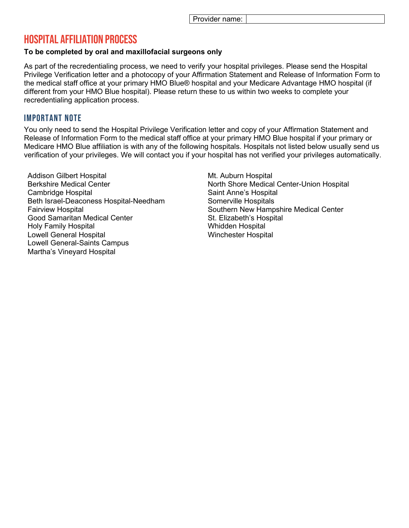## Hospital affiliation Process

#### **To be completed by oral and maxillofacial surgeons only**

As part of the recredentialing process, we need to verify your hospital privileges. Please send the Hospital Privilege Verification letter and a photocopy of your Affirmation Statement and Release of Information Form to the medical staff office at your primary HMO Blue® hospital and your Medicare Advantage HMO hospital (if different from your HMO Blue hospital). Please return these to us within two weeks to complete your recredentialing application process.

## Important Note

You only need to send the Hospital Privilege Verification letter and copy of your Affirmation Statement and Release of Information Form to the medical staff office at your primary HMO Blue hospital if your primary or Medicare HMO Blue affiliation is with any of the following hospitals. Hospitals not listed below usually send us verification of your privileges. We will contact you if your hospital has not verified your privileges automatically.

Addison Gilbert Hospital Berkshire Medical Center Cambridge Hospital Beth Israel-Deaconess Hospital-Needham Fairview Hospital Good Samaritan Medical Center Holy Family Hospital Lowell General Hospital Lowell General-Saints Campus Martha's Vineyard Hospital

Mt. Auburn Hospital North Shore Medical Center-Union Hospital Saint Anne's Hospital Somerville Hospitals Southern New Hampshire Medical Center St. Elizabeth's Hospital Whidden Hospital Winchester Hospital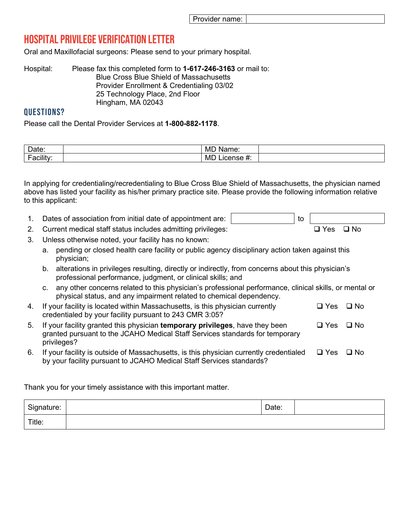# Hospital Privilege Verification Letter

Oral and Maxillofacial surgeons: Please send to your primary hospital.

| Please fax this completed form to 1-617-246-3163 or mail to: |
|--------------------------------------------------------------|
| <b>Blue Cross Blue Shield of Massachusetts</b>               |
| Provider Enrollment & Credentialing 03/02                    |
| 25 Technology Place, 2nd Floor                               |
| Hingham, MA 02043                                            |
|                                                              |

### Questions?

Please call the Dental Provider Services at **1-800-882-1178**.

| Date:                          | <b>MD</b><br>Name: |  |
|--------------------------------|--------------------|--|
| <br>-<br>Facility <sup>-</sup> | <b>MD</b>          |  |

In applying for credentialing/recredentialing to Blue Cross Blue Shield of Massachusetts, the physician named above has listed your facility as his/her primary practice site. Please provide the following information relative to this applicant:

1. Dates of association from initial date of appointment are:  $\vert$ 

2. Current medical staff status includes admitting privileges:  $\Box$  Yes  $\Box$  No

- 3. Unless otherwise noted, your facility has no known:
	- a. pending or closed health care facility or public agency disciplinary action taken against this physician;
	- b. alterations in privileges resulting, directly or indirectly, from concerns about this physician's professional performance, judgment, or clinical skills; and
	- c. any other concerns related to this physician's professional performance, clinical skills, or mental or physical status, and any impairment related to chemical dependency.
- 4. If your facility is located within Massachusetts, is this physician currently credentialed by your facility pursuant to 243 CMR 3:05?  $\Box$  Yes  $\Box$  No
- 5. If your facility granted this physician **temporary privileges**, have they been granted pursuant to the JCAHO Medical Staff Services standards for temporary privileges?  $\Box$  Yes  $\Box$  No
- 6. If your facility is outside of Massachusetts, is this physician currently credentialed by your facility pursuant to JCAHO Medical Staff Services standards?  $\Box$  Yes  $\Box$  No

Thank you for your timely assistance with this important matter.

| Signature: | Date: |  |
|------------|-------|--|
| Title:     |       |  |